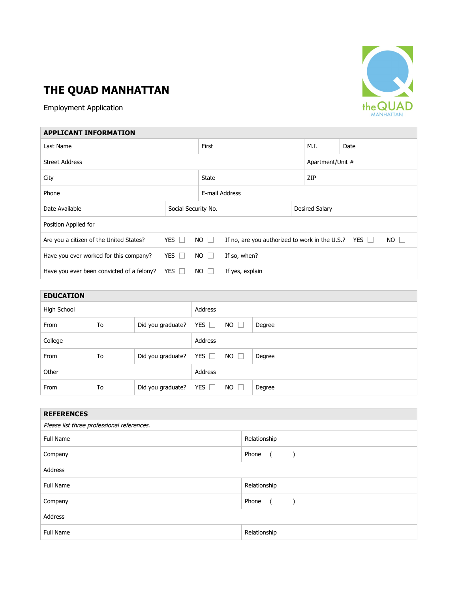## **THE QUAD MANHATTAN**



Employment Application

| <b>APPLICANT INFORMATION</b>                                  |                     |             |                                                                             |  |                |                  |  |  |
|---------------------------------------------------------------|---------------------|-------------|-----------------------------------------------------------------------------|--|----------------|------------------|--|--|
| Last Name                                                     |                     |             | First                                                                       |  |                | Date             |  |  |
| <b>Street Address</b>                                         |                     |             |                                                                             |  |                | Apartment/Unit # |  |  |
| City                                                          |                     |             | <b>State</b>                                                                |  |                | ZIP              |  |  |
| Phone                                                         |                     |             | E-mail Address                                                              |  |                |                  |  |  |
| Date Available                                                | Social Security No. |             |                                                                             |  | Desired Salary |                  |  |  |
| Position Applied for                                          |                     |             |                                                                             |  |                |                  |  |  |
| YES<br>$NO$ $\Box$<br>Are you a citizen of the United States? |                     |             | $NO$ $\Box$<br>If no, are you authorized to work in the U.S.?<br>YES $\Box$ |  |                |                  |  |  |
| Have you ever worked for this company?                        | YES $\Box$          | NO.         | If so, when?                                                                |  |                |                  |  |  |
| Have you ever been convicted of a felony?                     | YES $\Box$          | $NO$ $\Box$ | If yes, explain                                                             |  |                |                  |  |  |

| <b>EDUCATION</b> |    |                              |               |             |        |
|------------------|----|------------------------------|---------------|-------------|--------|
| High School      |    |                              | Address       |             |        |
| From             | To | Did you graduate? YES $\Box$ |               | $NO$ $\Box$ | Degree |
| College          |    |                              | Address       |             |        |
| From             | To | Did you graduate?            | YES $\square$ | $NO$ $\Box$ | Degree |
| Other            |    |                              | Address       |             |        |
| From             | To | Did you graduate?            | YES $\Box$    | $NO$ $\Box$ | Degree |

| <b>REFERENCES</b>                          |                                      |  |  |  |  |
|--------------------------------------------|--------------------------------------|--|--|--|--|
| Please list three professional references. |                                      |  |  |  |  |
| <b>Full Name</b>                           | Relationship                         |  |  |  |  |
| Company                                    | Phone<br>$\sqrt{2}$<br>$\rightarrow$ |  |  |  |  |
| Address                                    |                                      |  |  |  |  |
| <b>Full Name</b>                           | Relationship                         |  |  |  |  |
| Company                                    | Phone<br>$\sqrt{2}$<br>$\rightarrow$ |  |  |  |  |
| Address                                    |                                      |  |  |  |  |
| <b>Full Name</b>                           | Relationship                         |  |  |  |  |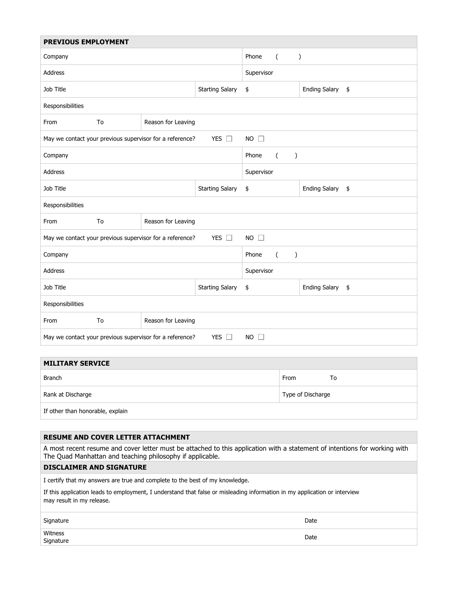| <b>PREVIOUS EMPLOYMENT</b>                                                                         |                                                                                          |                    |                        |                                       |                                       |  |
|----------------------------------------------------------------------------------------------------|------------------------------------------------------------------------------------------|--------------------|------------------------|---------------------------------------|---------------------------------------|--|
| Company                                                                                            |                                                                                          |                    |                        | Phone<br>$\mathcal{C}$<br>- (         |                                       |  |
| Address                                                                                            |                                                                                          |                    |                        | Supervisor                            |                                       |  |
| Job Title                                                                                          |                                                                                          |                    | <b>Starting Salary</b> | \$                                    | <b>Ending Salary</b><br>$\frac{1}{2}$ |  |
| Responsibilities                                                                                   |                                                                                          |                    |                        |                                       |                                       |  |
| From                                                                                               | To                                                                                       | Reason for Leaving |                        |                                       |                                       |  |
|                                                                                                    | YES $\square$<br>$NO$ $\Box$<br>May we contact your previous supervisor for a reference? |                    |                        |                                       |                                       |  |
| Company<br>Phone<br>$\mathcal{E}$<br>$\left($                                                      |                                                                                          |                    |                        |                                       |                                       |  |
| Address                                                                                            | Supervisor                                                                               |                    |                        |                                       |                                       |  |
| Job Title                                                                                          |                                                                                          |                    | \$                     | <b>Ending Salary</b><br>$\frac{1}{2}$ |                                       |  |
| Responsibilities                                                                                   |                                                                                          |                    |                        |                                       |                                       |  |
| From                                                                                               | Reason for Leaving<br>To                                                                 |                    |                        |                                       |                                       |  |
| YES $\square$<br>$NO$ $\Box$<br>May we contact your previous supervisor for a reference?           |                                                                                          |                    |                        |                                       |                                       |  |
| Phone<br>Company<br>$\mathcal{E}$<br>$\left($                                                      |                                                                                          |                    |                        |                                       |                                       |  |
| Address<br>Supervisor                                                                              |                                                                                          |                    |                        |                                       |                                       |  |
| Job Title                                                                                          |                                                                                          |                    | \$                     | <b>Ending Salary</b><br>\$            |                                       |  |
| Responsibilities                                                                                   |                                                                                          |                    |                        |                                       |                                       |  |
| From                                                                                               | Reason for Leaving<br>To                                                                 |                    |                        |                                       |                                       |  |
| May we contact your previous supervisor for a reference?<br><b>YES</b><br>$\Box$<br>$NO$ $\square$ |                                                                                          |                    |                        |                                       |                                       |  |

## **MILITARY SERVICE** Branch **From Tomas and Tomas and Tomas and Tomas and Tomas and Tomas and Tomas and Tomas and Tomas and Tomas and To** Rank at Discharge Type of Discharge Type of Discharge Type of Discharge Type of Discharge Type of Discharge Type of Discharge Type of Discharge Type of Discharge Type of Discharge Type of Discharge Type of Discharge Type o If other than honorable, explain

## **RESUME AND COVER LETTER ATTACHMENT**

A most recent resume and cover letter must be attached to this application with a statement of intentions for working with The Quad Manhattan and teaching philosophy if applicable.

## **DISCLAIMER AND SIGNATURE**

I certify that my answers are true and complete to the best of my knowledge.

If this application leads to employment, I understand that false or misleading information in my application or interview may result in my release.

Signature Date Date of the Date of the Date of the Date of the Date of the Date of the Date of the Date of the

Witness while the control of the control of the control of the control of the control of the control of the control of<br>Signature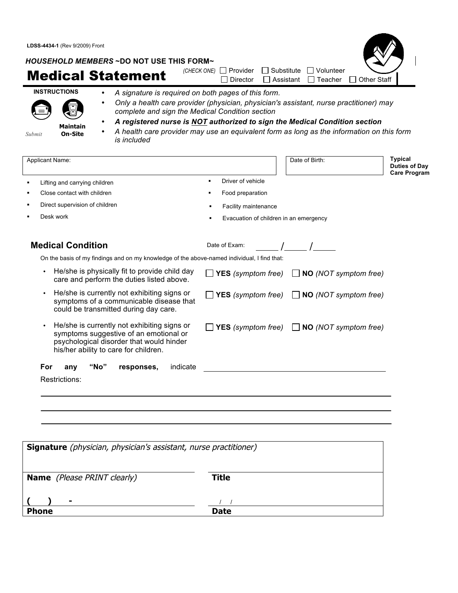|        | HOUSEHOLD MEMBERS ~DO NOT USE THIS FORM~<br><b>Medical Statement</b>                                                                          | $\Box$ Substitute<br>(CHECK ONE)<br><b>Provider</b><br>Volunteer<br>Other Staff<br>$\Box$ Assistant<br>$\Box$ Teacher<br>Director<br>$\sim$                                                                                                                                                                              |
|--------|-----------------------------------------------------------------------------------------------------------------------------------------------|--------------------------------------------------------------------------------------------------------------------------------------------------------------------------------------------------------------------------------------------------------------------------------------------------------------------------|
| Submit | <b>INSTRUCTIONS</b><br>$\bullet$<br>complete and sign the Medical Condition section<br>$\bullet$<br>Maintain<br><b>On-Site</b><br>is included | A signature is required on both pages of this form.<br>Only a health care provider (physician, physician's assistant, nurse practitioner) may<br>A registered nurse is NOT authorized to sign the Medical Condition section<br>A health care provider may use an equivalent form as long as the information on this form |
|        | Applicant Name:                                                                                                                               | <b>Typical</b><br>Date of Birth:<br><b>Duties of Day</b><br><b>Care Program</b>                                                                                                                                                                                                                                          |
|        | Lifting and carrying children<br>Close contact with children<br>Direct supervision of children<br>Desk work                                   | Driver of vehicle<br>٠<br>Food preparation<br>٠<br>Facility maintenance<br>٠<br>Evacuation of children in an emergency                                                                                                                                                                                                   |
|        | <b>Medical Condition</b>                                                                                                                      | Date of Exam:                                                                                                                                                                                                                                                                                                            |
|        | On the basis of my findings and on my knowledge of the above-named individual, I find that:                                                   |                                                                                                                                                                                                                                                                                                                          |
|        | He/she is physically fit to provide child day<br>care and perform the duties listed above.                                                    | NO (NOT symptom free)<br>$\Box$ YES (symptom free)                                                                                                                                                                                                                                                                       |
|        | He/she is currently not exhibiting signs or<br>symptoms of a communicable disease that<br>could be transmitted during day care.               | $\Box$ YES (symptom free)<br>$\Box$ NO (NOT symptom free)                                                                                                                                                                                                                                                                |
|        | He/she is currently not exhibiting signs or<br>symptoms suggestive of an emotional or                                                         | $\Box$ NO (NOT symptom free)<br>$\Box$ YES (symptom free)                                                                                                                                                                                                                                                                |

| Signature (physician, physician's assistant, nurse practitioner) |             |  |  |
|------------------------------------------------------------------|-------------|--|--|
| <b>Name</b> (Please PRINT clearly)                               | Title       |  |  |
| $\blacksquare$<br><b>Phone</b>                                   | <b>Date</b> |  |  |

psychological disorder that would hinder his/her ability to care for children.

**For any "No" responses,** indicate

Restrictions: